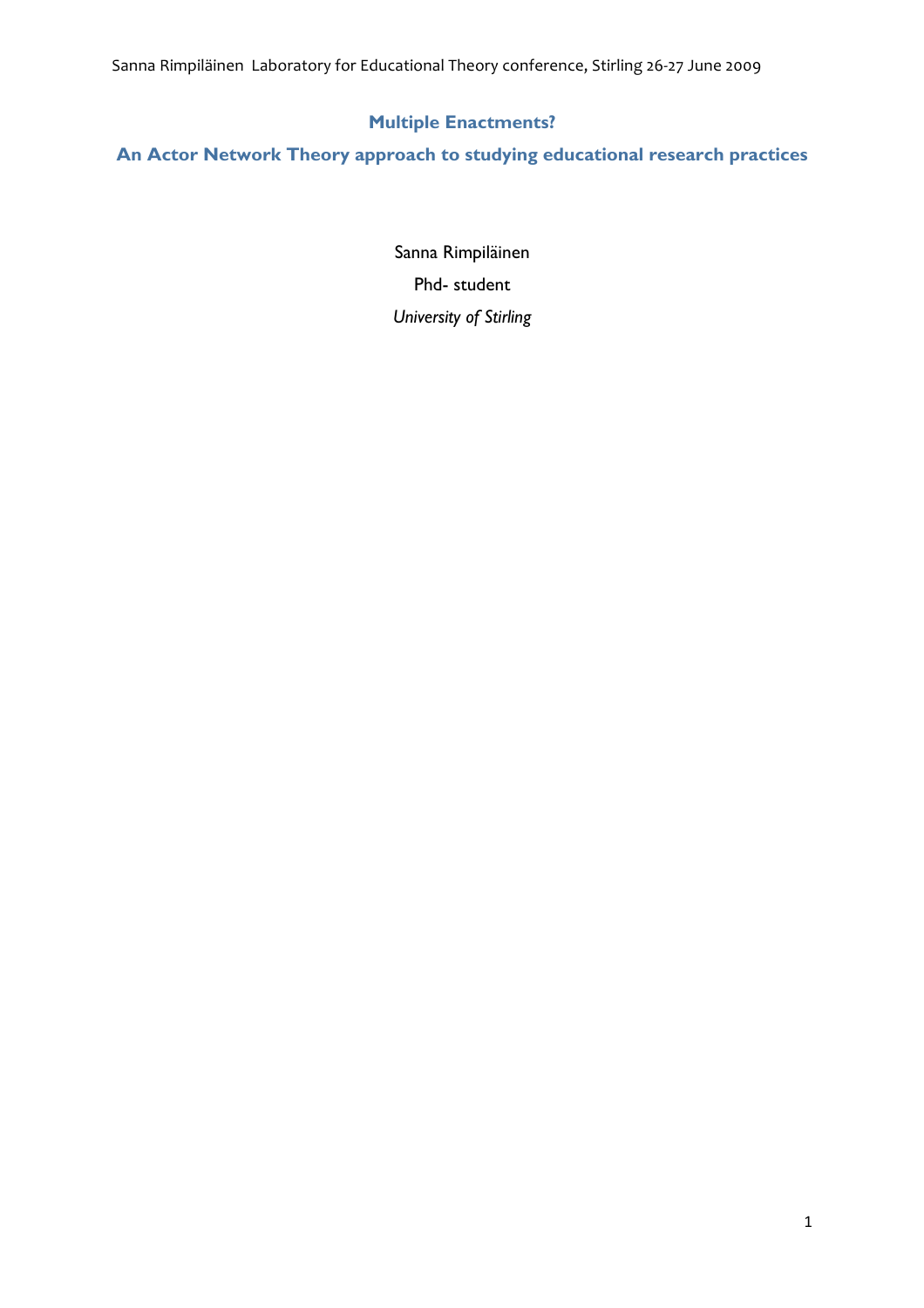Sanna
Rimpiläinen

Laboratory
for
Educational
Theory
conference,
Stirling
26‐27
June
2009

# **Multiple Enactments?**

**An Actor Network Theory approach to studying educational research practices**

Sanna Rimpiläinen Phd- student *University of Stirling*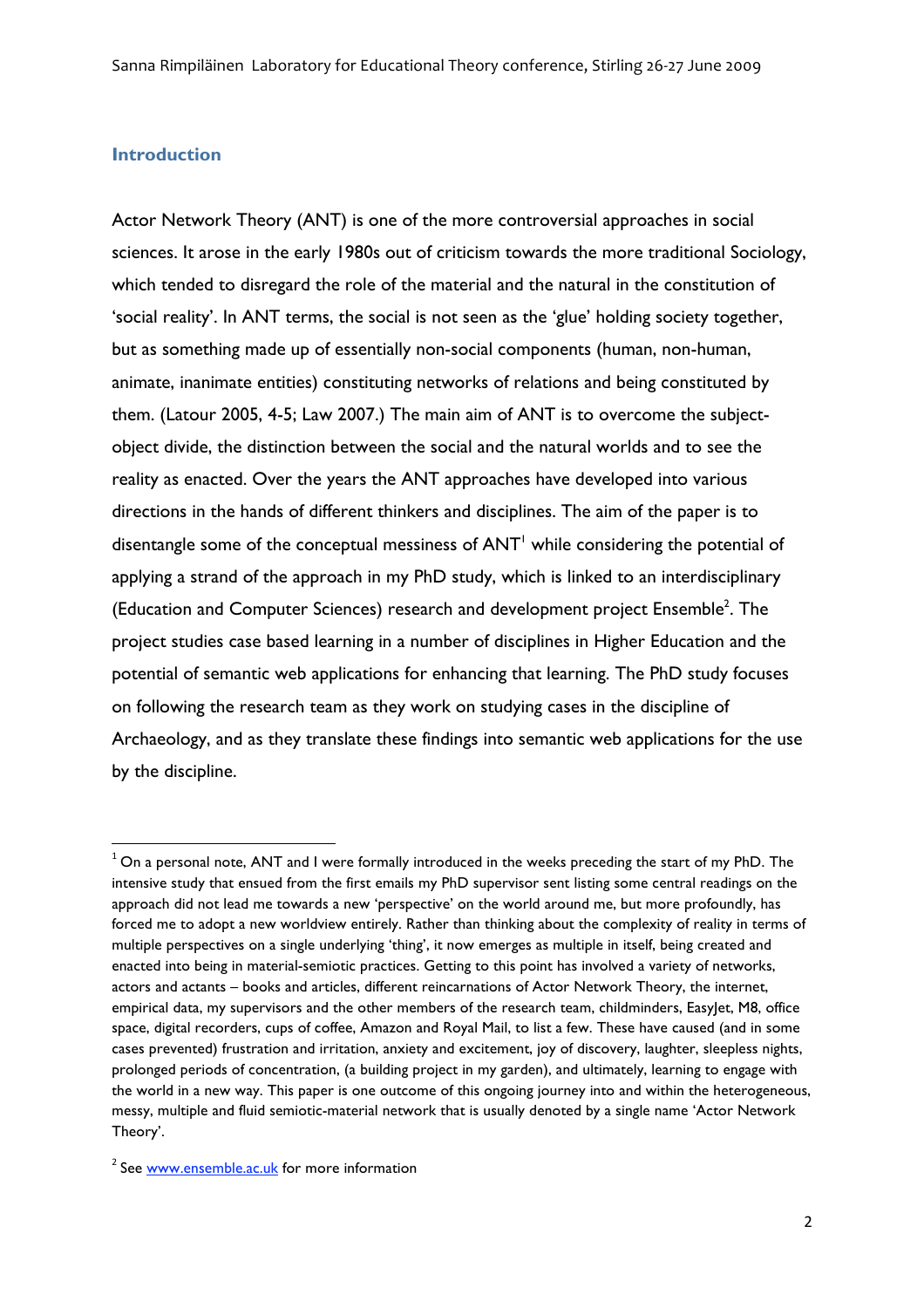## **Introduction**

Actor Network Theory (ANT) is one of the more controversial approaches in social sciences. It arose in the early 1980s out of criticism towards the more traditional Sociology, which tended to disregard the role of the material and the natural in the constitution of 'social reality'. In ANT terms, the social is not seen as the 'glue' holding society together, but as something made up of essentially non-social components (human, non-human, animate, inanimate entities) constituting networks of relations and being constituted by them. (Latour 2005, 4-5; Law 2007.) The main aim of ANT is to overcome the subjectobject divide, the distinction between the social and the natural worlds and to see the reality as enacted. Over the years the ANT approaches have developed into various directions in the hands of different thinkers and disciplines. The aim of the paper is to disentangle some of the conceptual messiness of  $ANT<sup>1</sup>$  while considering the potential of applying a strand of the approach in my PhD study, which is linked to an interdisciplinary (Education and Computer Sciences) research and development project Ensemble<sup>2</sup>. The project studies case based learning in a number of disciplines in Higher Education and the potential of semantic web applications for enhancing that learning. The PhD study focuses on following the research team as they work on studying cases in the discipline of Archaeology, and as they translate these findings into semantic web applications for the use by the discipline.

<u> 1989 - Johann Stein, fransk politik (d. 1989)</u>

 $1$  On a personal note, ANT and I were formally introduced in the weeks preceding the start of my PhD. The intensive study that ensued from the first emails my PhD supervisor sent listing some central readings on the approach did not lead me towards a new 'perspective' on the world around me, but more profoundly, has forced me to adopt a new worldview entirely. Rather than thinking about the complexity of reality in terms of multiple perspectives on a single underlying 'thing', it now emerges as multiple in itself, being created and enacted into being in material-semiotic practices. Getting to this point has involved a variety of networks, actors and actants – books and articles, different reincarnations of Actor Network Theory, the internet, empirical data, my supervisors and the other members of the research team, childminders, EasyJet, M8, office space, digital recorders, cups of coffee, Amazon and Royal Mail, to list a few. These have caused (and in some cases prevented) frustration and irritation, anxiety and excitement, joy of discovery, laughter, sleepless nights, prolonged periods of concentration, (a building project in my garden), and ultimately, learning to engage with the world in a new way. This paper is one outcome of this ongoing journey into and within the heterogeneous, messy, multiple and fluid semiotic-material network that is usually denoted by a single name 'Actor Network Theory'.

<sup>&</sup>lt;sup>2</sup> See www.ensemble.ac.uk for more information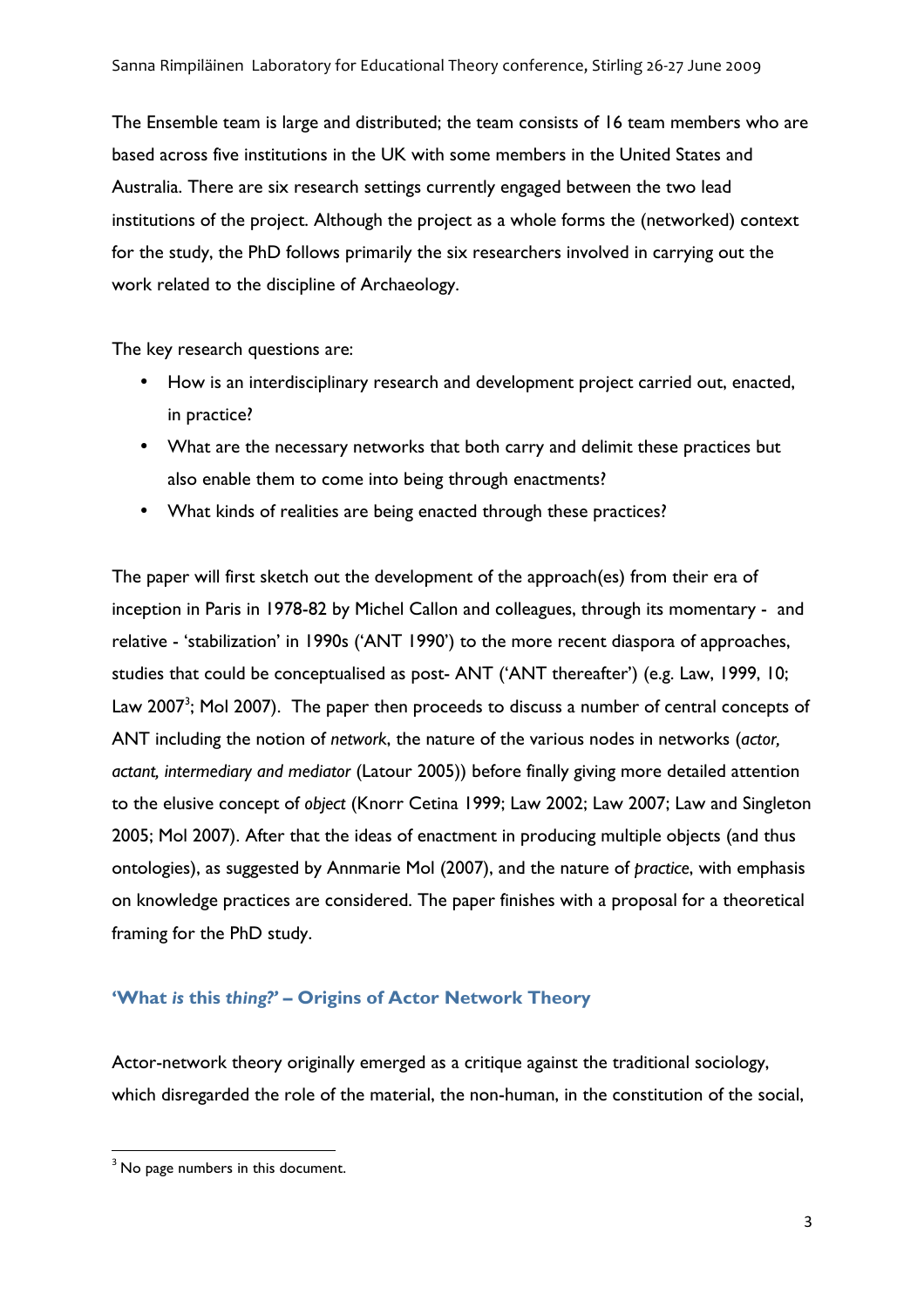The Ensemble team is large and distributed; the team consists of 16 team members who are based across five institutions in the UK with some members in the United States and Australia. There are six research settings currently engaged between the two lead institutions of the project. Although the project as a whole forms the (networked) context for the study, the PhD follows primarily the six researchers involved in carrying out the work related to the discipline of Archaeology.

The key research questions are:

- How is an interdisciplinary research and development project carried out, enacted, in practice?
- What are the necessary networks that both carry and delimit these practices but also enable them to come into being through enactments?
- What kinds of realities are being enacted through these practices?

The paper will first sketch out the development of the approach(es) from their era of inception in Paris in 1978-82 by Michel Callon and colleagues, through its momentary - and relative - 'stabilization' in 1990s ('ANT 1990') to the more recent diaspora of approaches, studies that could be conceptualised as post- ANT ('ANT thereafter') (e.g. Law, 1999, 10; Law 2007<sup>3</sup>; Mol 2007). The paper then proceeds to discuss a number of central concepts of ANT including the notion of *network*, the nature of the various nodes in networks (*actor, actant, intermediary and mediator* (Latour 2005)) before finally giving more detailed attention to the elusive concept of *object* (Knorr Cetina 1999; Law 2002; Law 2007; Law and Singleton 2005; Mol 2007). After that the ideas of enactment in producing multiple objects (and thus ontologies), as suggested by Annmarie Mol (2007), and the nature of *practice*, with emphasis on knowledge practices are considered. The paper finishes with a proposal for a theoretical framing for the PhD study.

# **'What** *is* **this** *thing?' –* **Origins of Actor Network Theory**

Actor-network theory originally emerged as a critique against the traditional sociology, which disregarded the role of the material, the non-human, in the constitution of the social,

<sup>&</sup>lt;u> 1989 - Johann Stein, fransk politik (d. 1989)</u>  $3$  No page numbers in this document.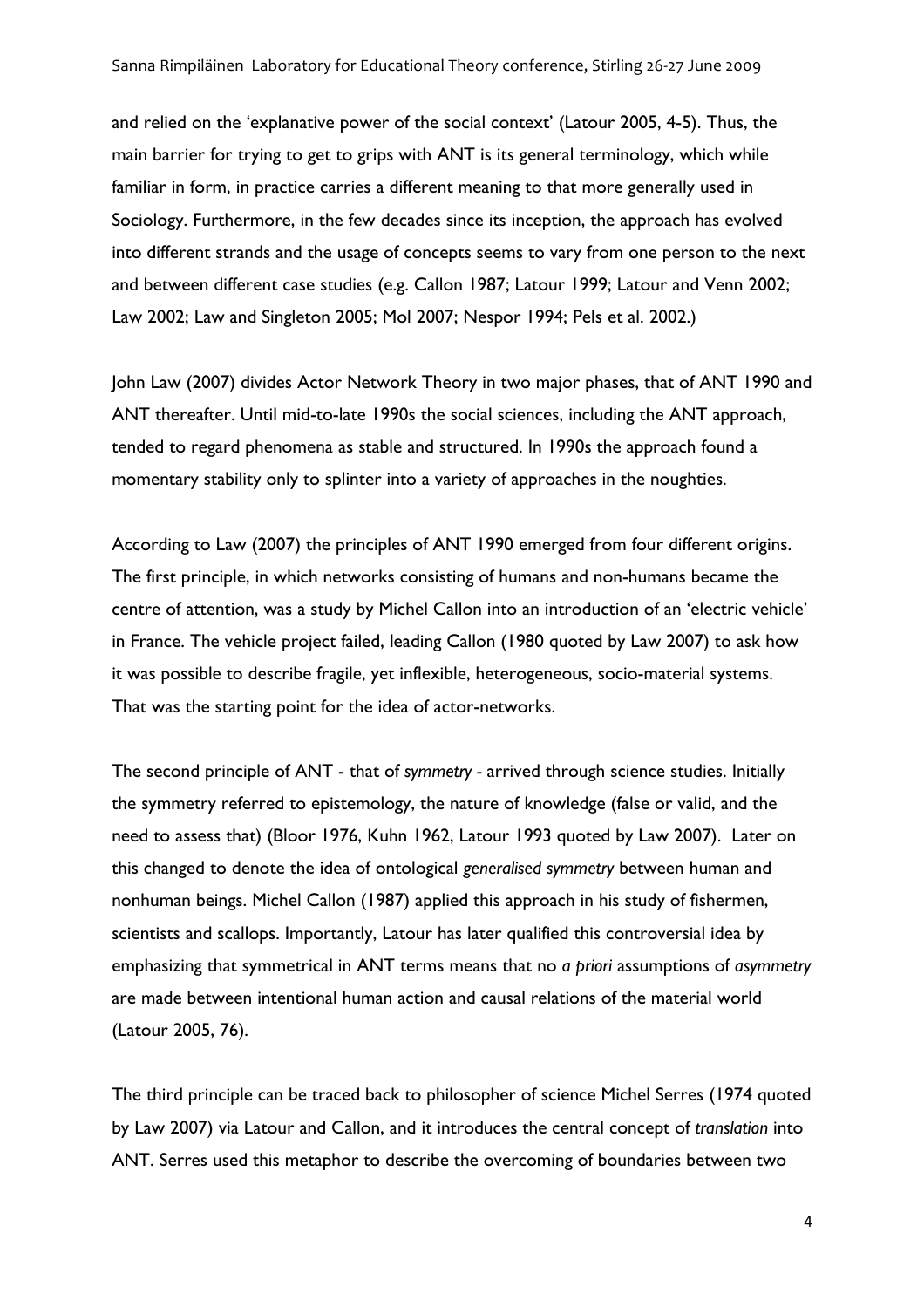and relied on the 'explanative power of the social context' (Latour 2005, 4-5). Thus, the main barrier for trying to get to grips with ANT is its general terminology, which while familiar in form, in practice carries a different meaning to that more generally used in Sociology. Furthermore, in the few decades since its inception, the approach has evolved into different strands and the usage of concepts seems to vary from one person to the next and between different case studies (e.g. Callon 1987; Latour 1999; Latour and Venn 2002; Law 2002; Law and Singleton 2005; Mol 2007; Nespor 1994; Pels et al. 2002.)

John Law (2007) divides Actor Network Theory in two major phases, that of ANT 1990 and ANT thereafter. Until mid-to-late 1990s the social sciences, including the ANT approach, tended to regard phenomena as stable and structured. In 1990s the approach found a momentary stability only to splinter into a variety of approaches in the noughties.

According to Law (2007) the principles of ANT 1990 emerged from four different origins. The first principle, in which networks consisting of humans and non-humans became the centre of attention, was a study by Michel Callon into an introduction of an 'electric vehicle' in France. The vehicle project failed, leading Callon (1980 quoted by Law 2007) to ask how it was possible to describe fragile, yet inflexible, heterogeneous, socio-material systems. That was the starting point for the idea of actor-networks.

The second principle of ANT - that of *symmetry -* arrived through science studies. Initially the symmetry referred to epistemology, the nature of knowledge (false or valid, and the need to assess that) (Bloor 1976, Kuhn 1962, Latour 1993 quoted by Law 2007). Later on this changed to denote the idea of ontological *generalised symmetry* between human and nonhuman beings. Michel Callon (1987) applied this approach in his study of fishermen, scientists and scallops. Importantly, Latour has later qualified this controversial idea by emphasizing that symmetrical in ANT terms means that no *a priori* assumptions of *asymmetry*  are made between intentional human action and causal relations of the material world (Latour 2005, 76).

The third principle can be traced back to philosopher of science Michel Serres (1974 quoted by Law 2007) via Latour and Callon, and it introduces the central concept of *translation* into ANT. Serres used this metaphor to describe the overcoming of boundaries between two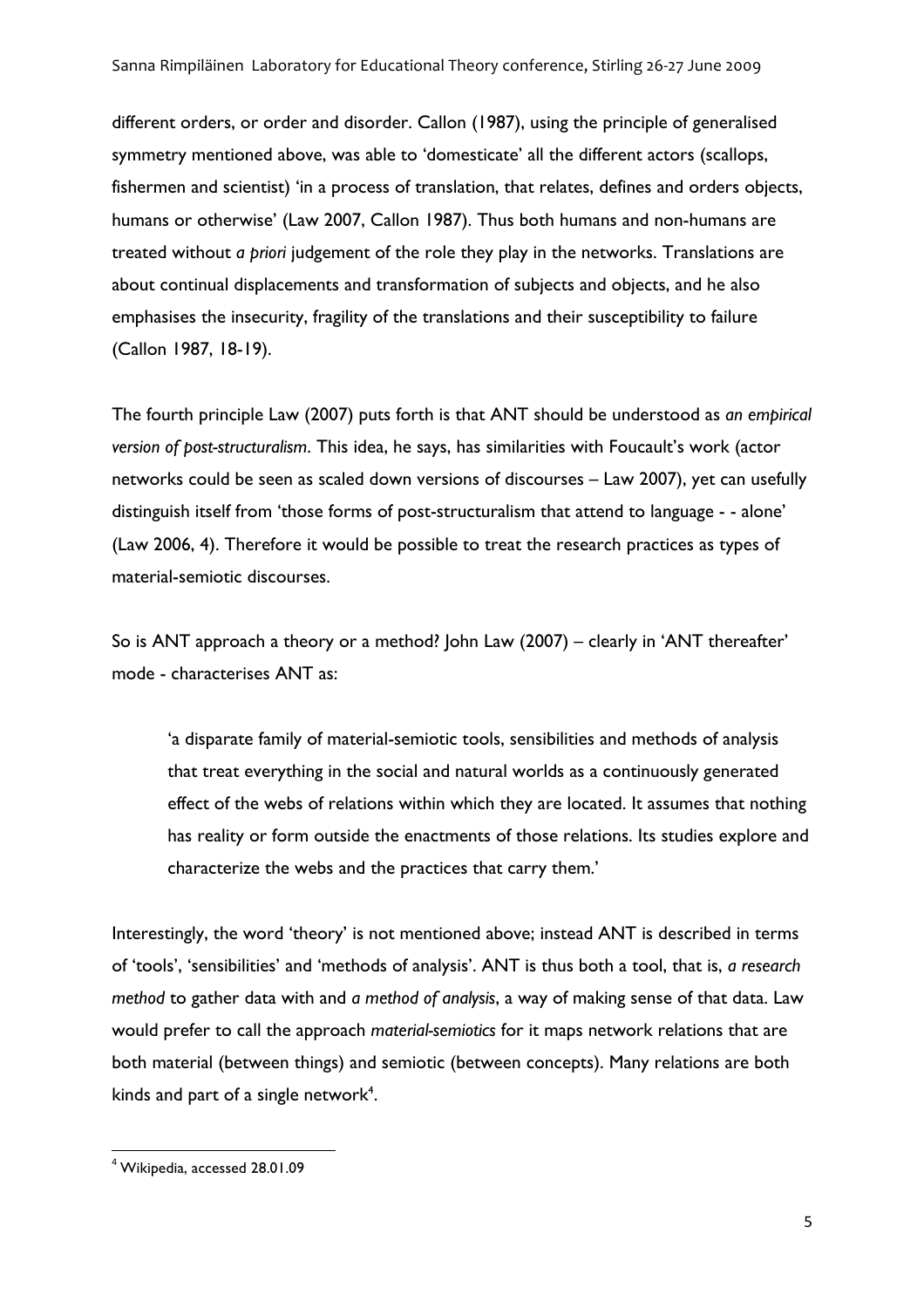different orders, or order and disorder. Callon (1987), using the principle of generalised symmetry mentioned above, was able to 'domesticate' all the different actors (scallops, fishermen and scientist) 'in a process of translation, that relates, defines and orders objects, humans or otherwise' (Law 2007, Callon 1987). Thus both humans and non-humans are treated without *a priori* judgement of the role they play in the networks. Translations are about continual displacements and transformation of subjects and objects, and he also emphasises the insecurity, fragility of the translations and their susceptibility to failure (Callon 1987, 18-19).

The fourth principle Law (2007) puts forth is that ANT should be understood as *an empirical version of post-structuralism*. This idea, he says, has similarities with Foucault's work (actor networks could be seen as scaled down versions of discourses – Law 2007), yet can usefully distinguish itself from 'those forms of post-structuralism that attend to language - - alone' (Law 2006, 4). Therefore it would be possible to treat the research practices as types of material-semiotic discourses.

So is ANT approach a theory or a method? John Law (2007) – clearly in 'ANT thereafter' mode - characterises ANT as:

'a disparate family of material-semiotic tools, sensibilities and methods of analysis that treat everything in the social and natural worlds as a continuously generated effect of the webs of relations within which they are located. It assumes that nothing has reality or form outside the enactments of those relations. Its studies explore and characterize the webs and the practices that carry them.'

Interestingly, the word 'theory' is not mentioned above; instead ANT is described in terms of 'tools', 'sensibilities' and 'methods of analysis'. ANT is thus both a tool, that is, *a research method* to gather data with and *a method of analysis*, a way of making sense of that data. Law would prefer to call the approach *material-semiotics* for it maps network relations that are both material (between things) and semiotic (between concepts). Many relations are both kinds and part of a single network<sup>4</sup>.

<u> 1989 - Johann Stein, fransk politik (d. 1989)</u>

<sup>4</sup> Wikipedia, accessed 28.01.09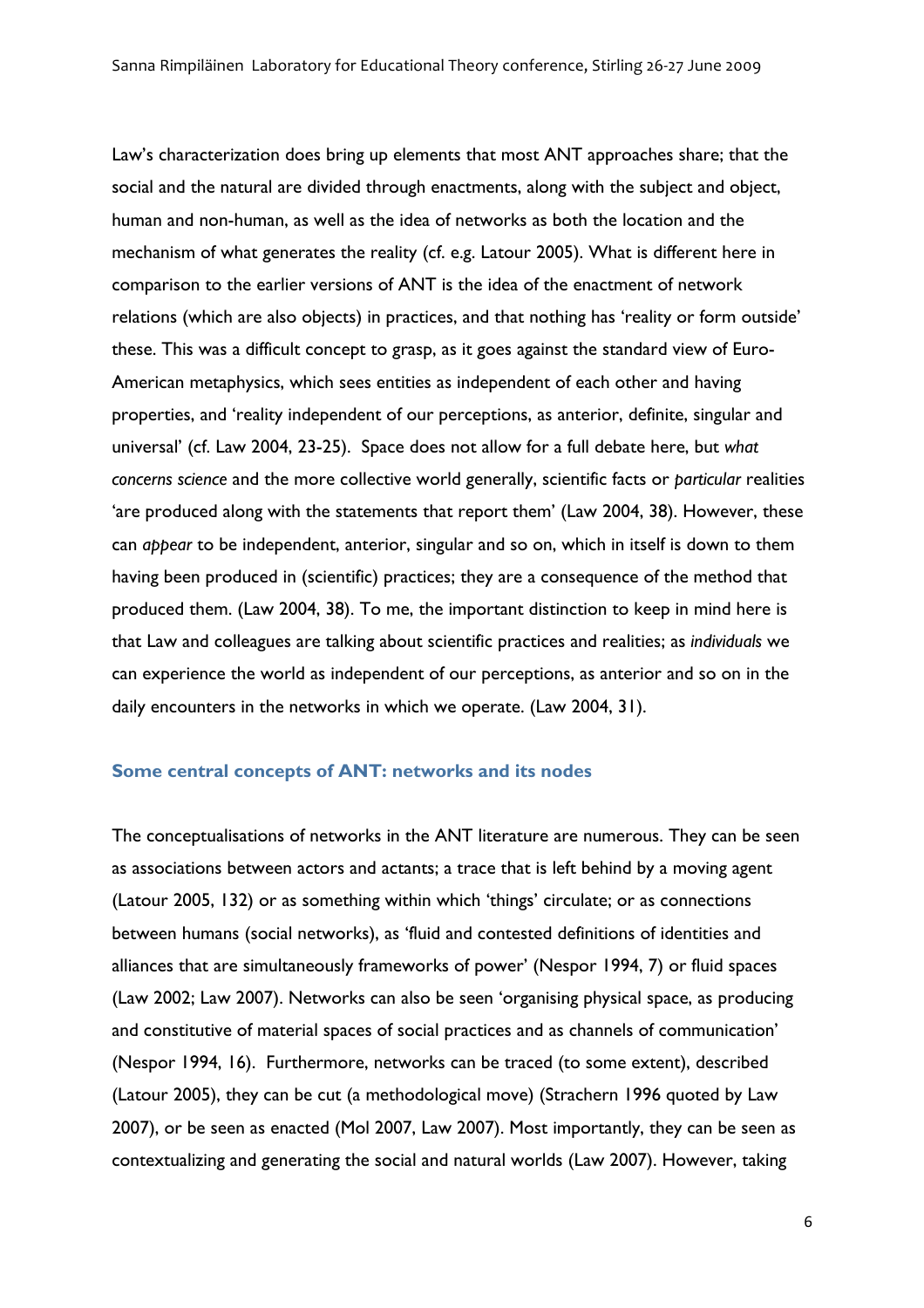Law's characterization does bring up elements that most ANT approaches share; that the social and the natural are divided through enactments, along with the subject and object, human and non-human, as well as the idea of networks as both the location and the mechanism of what generates the reality (cf. e.g. Latour 2005). What is different here in comparison to the earlier versions of ANT is the idea of the enactment of network relations (which are also objects) in practices, and that nothing has 'reality or form outside' these. This was a difficult concept to grasp, as it goes against the standard view of Euro-American metaphysics, which sees entities as independent of each other and having properties, and 'reality independent of our perceptions, as anterior, definite, singular and universal' (cf. Law 2004, 23-25). Space does not allow for a full debate here, but *what concerns science* and the more collective world generally, scientific facts or *particular* realities 'are produced along with the statements that report them' (Law 2004, 38). However, these can *appear* to be independent, anterior, singular and so on, which in itself is down to them having been produced in (scientific) practices; they are a consequence of the method that produced them. (Law 2004, 38). To me, the important distinction to keep in mind here is that Law and colleagues are talking about scientific practices and realities; as *individuals* we can experience the world as independent of our perceptions, as anterior and so on in the daily encounters in the networks in which we operate. (Law 2004, 31).

## **Some central concepts of ANT: networks and its nodes**

The conceptualisations of networks in the ANT literature are numerous. They can be seen as associations between actors and actants; a trace that is left behind by a moving agent (Latour 2005, 132) or as something within which 'things' circulate; or as connections between humans (social networks), as 'fluid and contested definitions of identities and alliances that are simultaneously frameworks of power' (Nespor 1994, 7) or fluid spaces (Law 2002; Law 2007). Networks can also be seen 'organising physical space, as producing and constitutive of material spaces of social practices and as channels of communication' (Nespor 1994, 16). Furthermore, networks can be traced (to some extent), described (Latour 2005), they can be cut (a methodological move) (Strachern 1996 quoted by Law 2007), or be seen as enacted (Mol 2007, Law 2007). Most importantly, they can be seen as contextualizing and generating the social and natural worlds (Law 2007). However, taking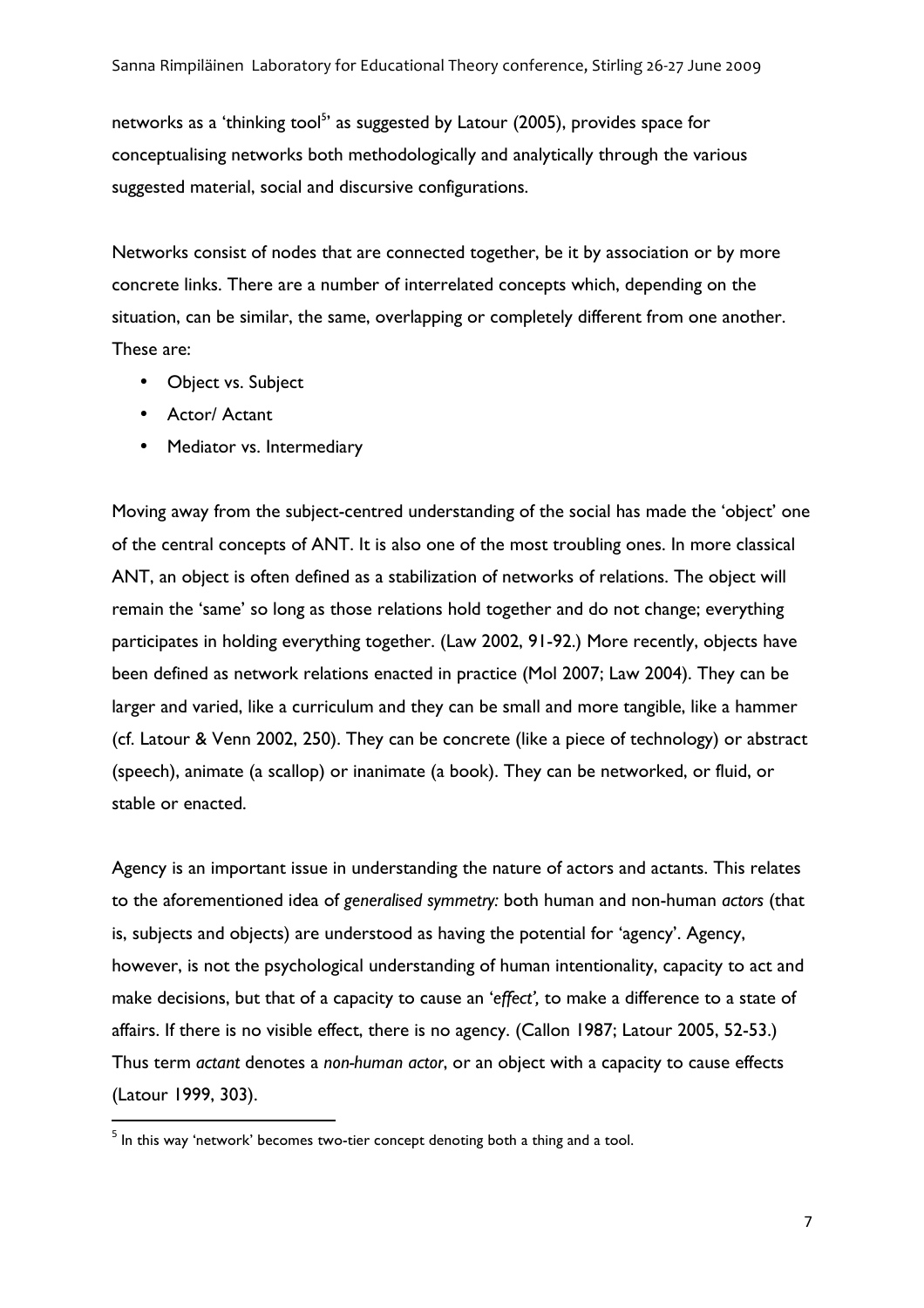networks as a 'thinking tool<sup>5</sup>' as suggested by Latour (2005), provides space for conceptualising networks both methodologically and analytically through the various suggested material, social and discursive configurations.

Networks consist of nodes that are connected together, be it by association or by more concrete links. There are a number of interrelated concepts which, depending on the situation, can be similar, the same, overlapping or completely different from one another. These are:

• Object vs. Subject

<u> 1989 - Johann Stein, fransk politik (d. 1989)</u>

- Actor/ Actant
- Mediator vs. Intermediary

Moving away from the subject-centred understanding of the social has made the 'object' one of the central concepts of ANT. It is also one of the most troubling ones. In more classical ANT, an object is often defined as a stabilization of networks of relations. The object will remain the 'same' so long as those relations hold together and do not change; everything participates in holding everything together. (Law 2002, 91-92.) More recently, objects have been defined as network relations enacted in practice (Mol 2007; Law 2004). They can be larger and varied, like a curriculum and they can be small and more tangible, like a hammer (cf. Latour & Venn 2002, 250). They can be concrete (like a piece of technology) or abstract (speech), animate (a scallop) or inanimate (a book). They can be networked, or fluid, or stable or enacted.

Agency is an important issue in understanding the nature of actors and actants. This relates to the aforementioned idea of *generalised symmetry:* both human and non-human *actors* (that is, subjects and objects) are understood as having the potential for 'agency'. Agency, however, is not the psychological understanding of human intentionality, capacity to act and make decisions, but that of a capacity to cause an '*effect',* to make a difference to a state of affairs. If there is no visible effect, there is no agency. (Callon 1987; Latour 2005, 52-53.) Thus term *actant* denotes a *non-human actor*, or an object with a capacity to cause effects (Latour 1999, 303).

 $<sup>5</sup>$  In this way 'network' becomes two-tier concept denoting both a thing and a tool.</sup>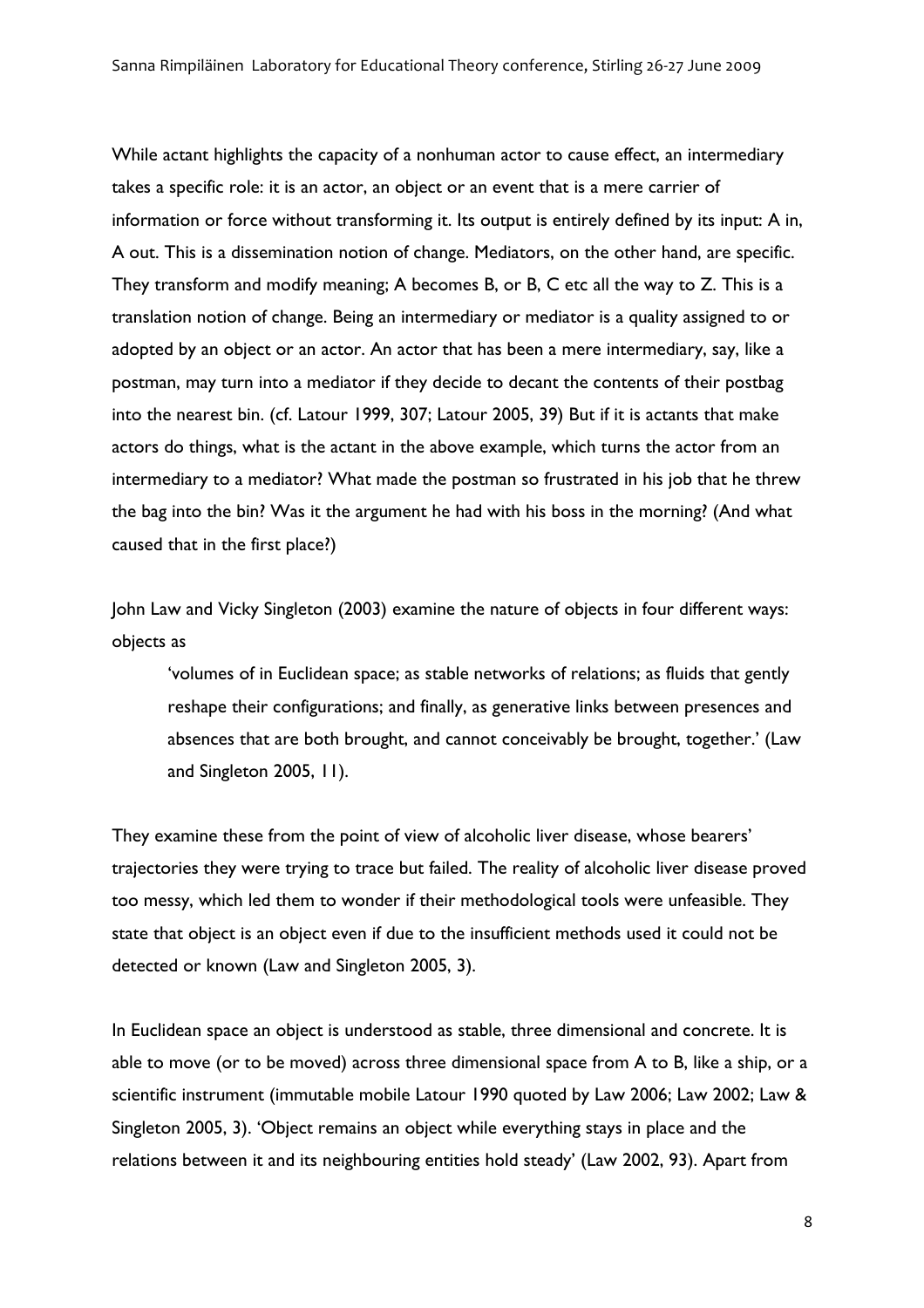While actant highlights the capacity of a nonhuman actor to cause effect, an intermediary takes a specific role: it is an actor, an object or an event that is a mere carrier of information or force without transforming it. Its output is entirely defined by its input: A in, A out. This is a dissemination notion of change. Mediators, on the other hand, are specific. They transform and modify meaning; A becomes B, or B, C etc all the way to Z. This is a translation notion of change. Being an intermediary or mediator is a quality assigned to or adopted by an object or an actor. An actor that has been a mere intermediary, say, like a postman, may turn into a mediator if they decide to decant the contents of their postbag into the nearest bin. (cf. Latour 1999, 307; Latour 2005, 39) But if it is actants that make actors do things, what is the actant in the above example, which turns the actor from an intermediary to a mediator? What made the postman so frustrated in his job that he threw the bag into the bin? Was it the argument he had with his boss in the morning? (And what caused that in the first place?)

John Law and Vicky Singleton (2003) examine the nature of objects in four different ways: objects as

'volumes of in Euclidean space; as stable networks of relations; as fluids that gently reshape their configurations; and finally, as generative links between presences and absences that are both brought, and cannot conceivably be brought, together.' (Law and Singleton 2005, 11).

They examine these from the point of view of alcoholic liver disease, whose bearers' trajectories they were trying to trace but failed. The reality of alcoholic liver disease proved too messy, which led them to wonder if their methodological tools were unfeasible. They state that object is an object even if due to the insufficient methods used it could not be detected or known (Law and Singleton 2005, 3).

In Euclidean space an object is understood as stable, three dimensional and concrete. It is able to move (or to be moved) across three dimensional space from A to B, like a ship, or a scientific instrument (immutable mobile Latour 1990 quoted by Law 2006; Law 2002; Law & Singleton 2005, 3). 'Object remains an object while everything stays in place and the relations between it and its neighbouring entities hold steady' (Law 2002, 93). Apart from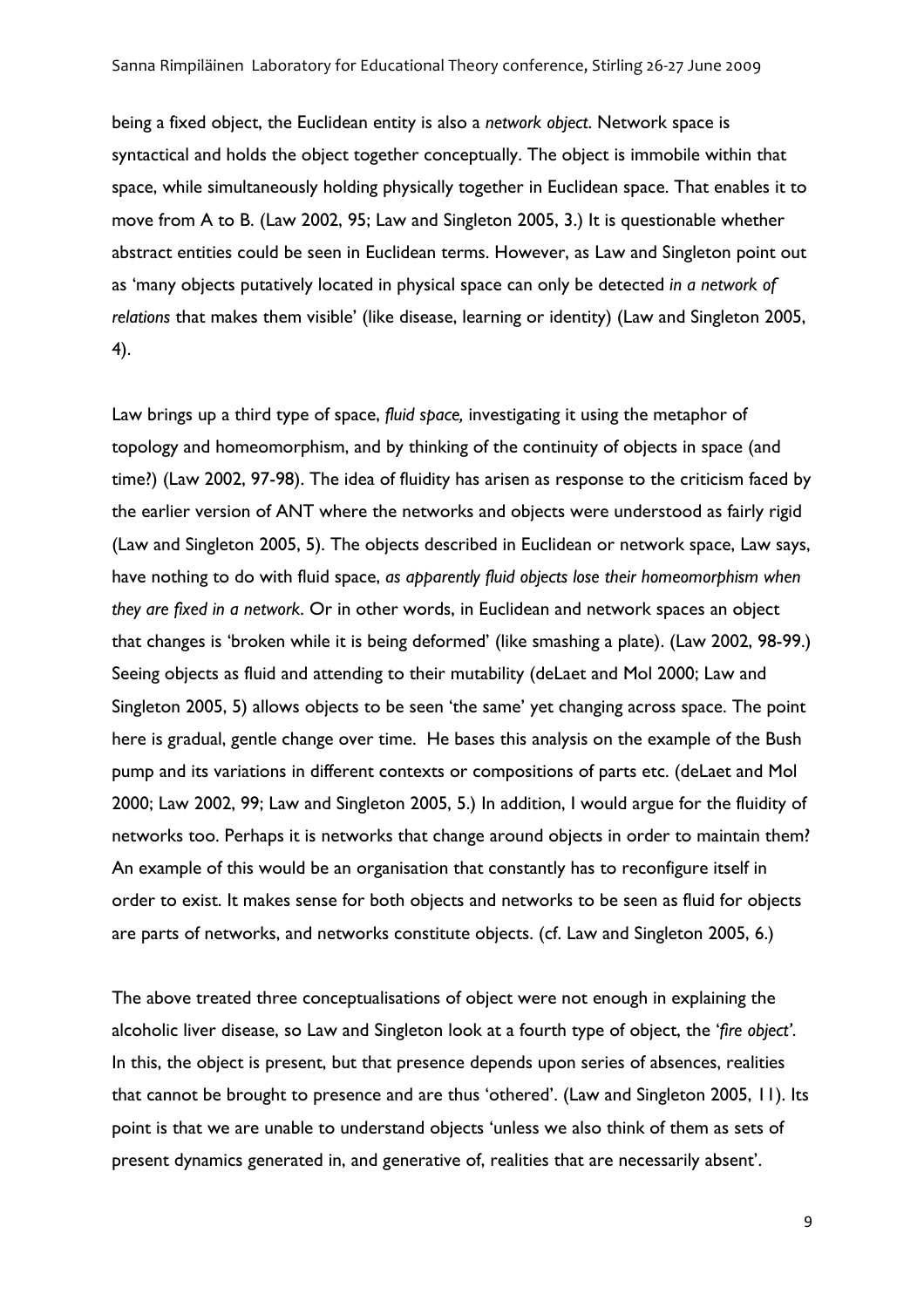being a fixed object, the Euclidean entity is also a *network object*. Network space is syntactical and holds the object together conceptually. The object is immobile within that space, while simultaneously holding physically together in Euclidean space. That enables it to move from A to B. (Law 2002, 95; Law and Singleton 2005, 3.) It is questionable whether abstract entities could be seen in Euclidean terms. However, as Law and Singleton point out as 'many objects putatively located in physical space can only be detected *in a network of relations* that makes them visible' (like disease, learning or identity) (Law and Singleton 2005, 4).

Law brings up a third type of space, *fluid space,* investigating it using the metaphor of topology and homeomorphism, and by thinking of the continuity of objects in space (and time?) (Law 2002, 97-98). The idea of fluidity has arisen as response to the criticism faced by the earlier version of ANT where the networks and objects were understood as fairly rigid (Law and Singleton 2005, 5). The objects described in Euclidean or network space, Law says, have nothing to do with fluid space, *as apparently fluid objects lose their homeomorphism when they are fixed in a network*. Or in other words, in Euclidean and network spaces an object that changes is 'broken while it is being deformed' (like smashing a plate). (Law 2002, 98-99.) Seeing objects as fluid and attending to their mutability (deLaet and Mol 2000; Law and Singleton 2005, 5) allows objects to be seen 'the same' yet changing across space. The point here is gradual, gentle change over time. He bases this analysis on the example of the Bush pump and its variations in different contexts or compositions of parts etc. (deLaet and Mol 2000; Law 2002, 99; Law and Singleton 2005, 5.) In addition, I would argue for the fluidity of networks too. Perhaps it is networks that change around objects in order to maintain them? An example of this would be an organisation that constantly has to reconfigure itself in order to exist. It makes sense for both objects and networks to be seen as fluid for objects are parts of networks, and networks constitute objects. (cf. Law and Singleton 2005, 6.)

The above treated three conceptualisations of object were not enough in explaining the alcoholic liver disease, so Law and Singleton look at a fourth type of object, the '*fire object'*. In this, the object is present, but that presence depends upon series of absences, realities that cannot be brought to presence and are thus 'othered'. (Law and Singleton 2005, 11). Its point is that we are unable to understand objects 'unless we also think of them as sets of present dynamics generated in, and generative of, realities that are necessarily absent'.

9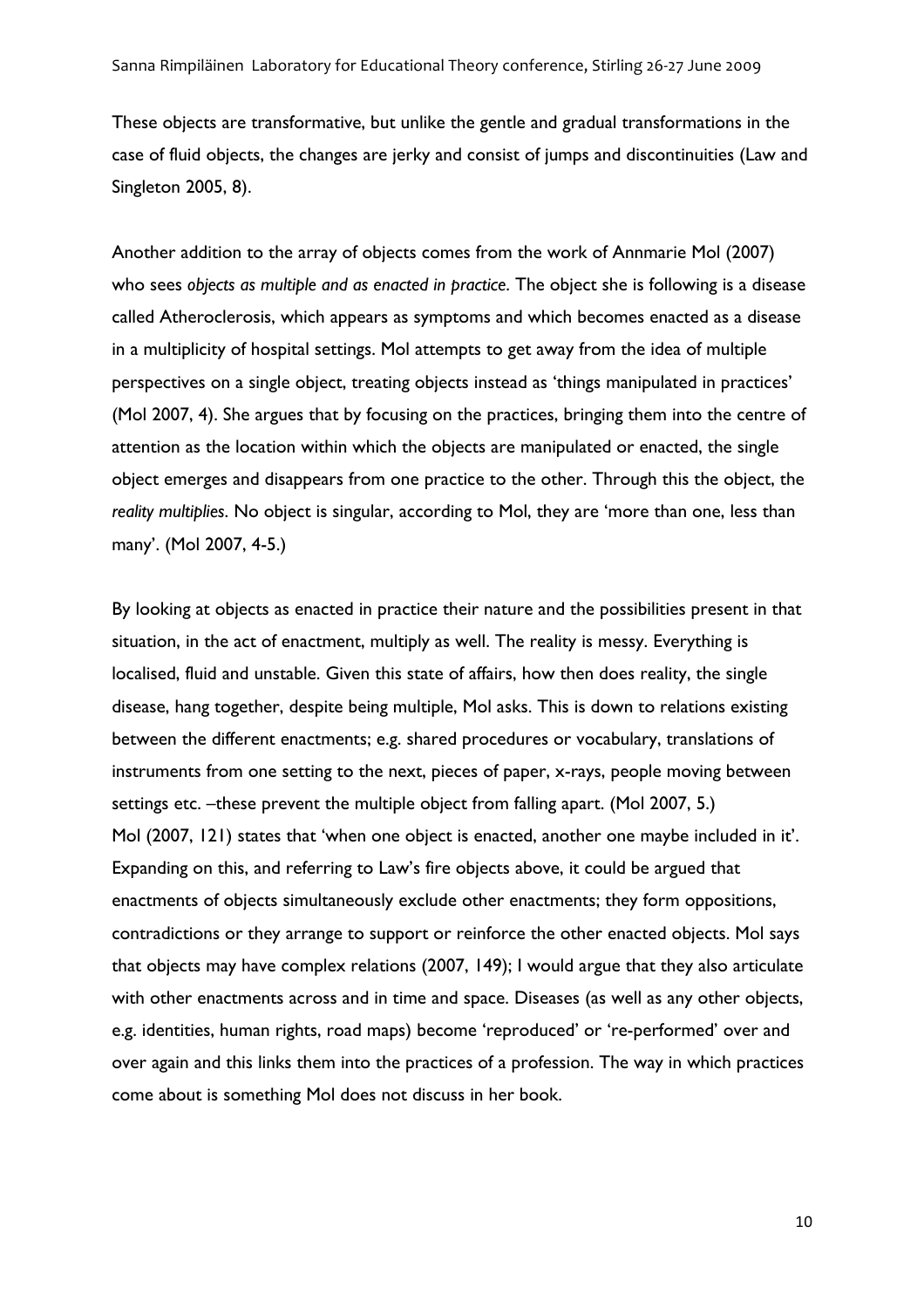These objects are transformative, but unlike the gentle and gradual transformations in the case of fluid objects, the changes are jerky and consist of jumps and discontinuities (Law and Singleton 2005, 8).

Another addition to the array of objects comes from the work of Annmarie Mol (2007) who sees *objects as multiple and as enacted in practice*. The object she is following is a disease called Atheroclerosis, which appears as symptoms and which becomes enacted as a disease in a multiplicity of hospital settings. Mol attempts to get away from the idea of multiple perspectives on a single object, treating objects instead as 'things manipulated in practices' (Mol 2007, 4). She argues that by focusing on the practices, bringing them into the centre of attention as the location within which the objects are manipulated or enacted, the single object emerges and disappears from one practice to the other. Through this the object, the *reality multiplies*. No object is singular, according to Mol, they are 'more than one, less than many'. (Mol 2007, 4-5.)

By looking at objects as enacted in practice their nature and the possibilities present in that situation, in the act of enactment, multiply as well. The reality is messy. Everything is localised, fluid and unstable. Given this state of affairs, how then does reality, the single disease, hang together, despite being multiple, Mol asks. This is down to relations existing between the different enactments; e.g. shared procedures or vocabulary, translations of instruments from one setting to the next, pieces of paper, x-rays, people moving between settings etc. -these prevent the multiple object from falling apart. (Mol 2007, 5.) Mol (2007, 121) states that 'when one object is enacted, another one maybe included in it'. Expanding on this, and referring to Law's fire objects above, it could be argued that enactments of objects simultaneously exclude other enactments; they form oppositions, contradictions or they arrange to support or reinforce the other enacted objects. Mol says that objects may have complex relations (2007, 149); I would argue that they also articulate with other enactments across and in time and space. Diseases (as well as any other objects, e.g. identities, human rights, road maps) become 'reproduced' or 're-performed' over and over again and this links them into the practices of a profession. The way in which practices come about is something Mol does not discuss in her book.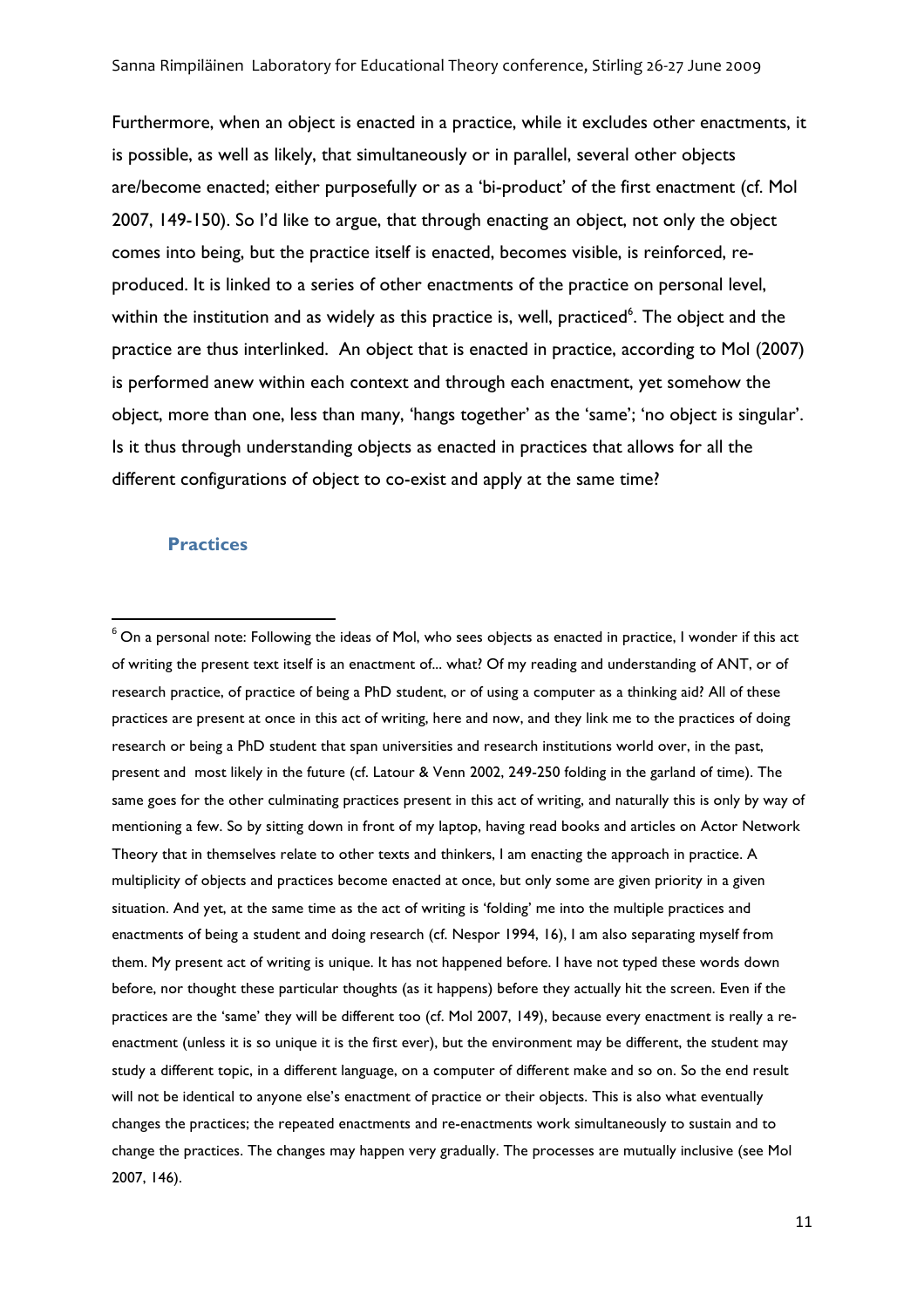Furthermore, when an object is enacted in a practice, while it excludes other enactments, it is possible, as well as likely, that simultaneously or in parallel, several other objects are/become enacted; either purposefully or as a 'bi-product' of the first enactment (cf. Mol 2007, 149-150). So I'd like to argue, that through enacting an object, not only the object comes into being, but the practice itself is enacted, becomes visible, is reinforced, reproduced. It is linked to a series of other enactments of the practice on personal level, within the institution and as widely as this practice is, well, practiced<sup>6</sup>. The object and the practice are thus interlinked. An object that is enacted in practice, according to Mol (2007) is performed anew within each context and through each enactment, yet somehow the object, more than one, less than many, 'hangs together' as the 'same'; 'no object is singular'. Is it thus through understanding objects as enacted in practices that allows for all the different configurations of object to co-exist and apply at the same time?

## **Practices**

<u> 1989 - Johann Stein, fransk politik (d. 1989)</u>

 $6$  On a personal note: Following the ideas of Mol, who sees objects as enacted in practice, I wonder if this act of writing the present text itself is an enactment of... what? Of my reading and understanding of ANT, or of research practice, of practice of being a PhD student, or of using a computer as a thinking aid? All of these practices are present at once in this act of writing, here and now, and they link me to the practices of doing research or being a PhD student that span universities and research institutions world over, in the past, present and most likely in the future (cf. Latour & Venn 2002, 249-250 folding in the garland of time). The same goes for the other culminating practices present in this act of writing, and naturally this is only by way of mentioning a few. So by sitting down in front of my laptop, having read books and articles on Actor Network Theory that in themselves relate to other texts and thinkers, I am enacting the approach in practice. A multiplicity of objects and practices become enacted at once, but only some are given priority in a given situation. And yet, at the same time as the act of writing is 'folding' me into the multiple practices and enactments of being a student and doing research (cf. Nespor 1994, 16), I am also separating myself from them. My present act of writing is unique. It has not happened before. I have not typed these words down before, nor thought these particular thoughts (as it happens) before they actually hit the screen. Even if the practices are the 'same' they will be different too (cf. Mol 2007, 149), because every enactment is really a reenactment (unless it is so unique it is the first ever), but the environment may be different, the student may study a different topic, in a different language, on a computer of different make and so on. So the end result will not be identical to anyone else's enactment of practice or their objects. This is also what eventually changes the practices; the repeated enactments and re-enactments work simultaneously to sustain and to change the practices. The changes may happen very gradually. The processes are mutually inclusive (see Mol 2007, 146).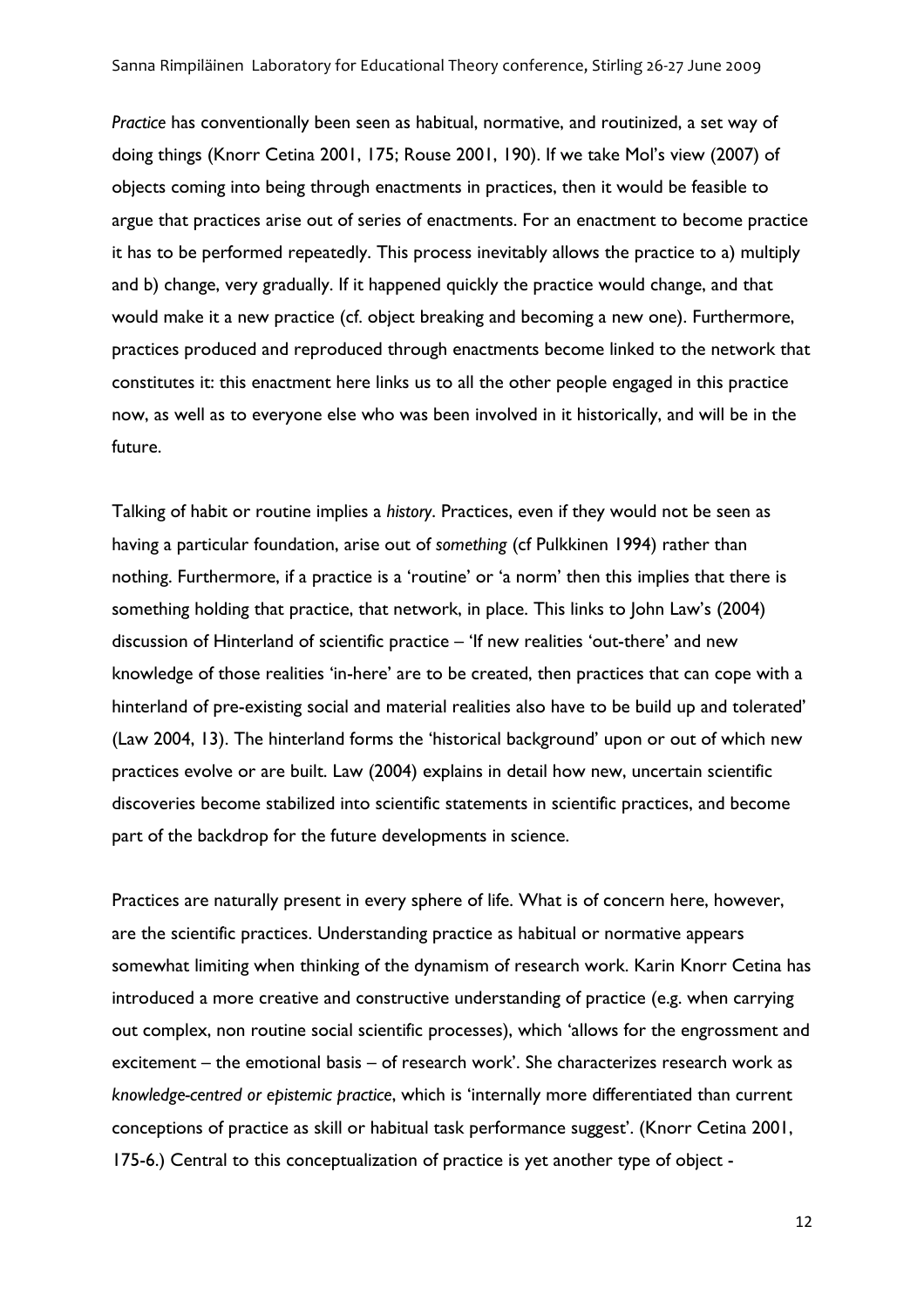*Practice* has conventionally been seen as habitual, normative, and routinized, a set way of doing things (Knorr Cetina 2001, 175; Rouse 2001, 190). If we take Mol's view (2007) of objects coming into being through enactments in practices, then it would be feasible to argue that practices arise out of series of enactments. For an enactment to become practice it has to be performed repeatedly. This process inevitably allows the practice to a) multiply and b) change, very gradually. If it happened quickly the practice would change, and that would make it a new practice (cf. object breaking and becoming a new one). Furthermore, practices produced and reproduced through enactments become linked to the network that constitutes it: this enactment here links us to all the other people engaged in this practice now, as well as to everyone else who was been involved in it historically, and will be in the future.

Talking of habit or routine implies a *history*. Practices, even if they would not be seen as having a particular foundation, arise out of *something* (cf Pulkkinen 1994) rather than nothing. Furthermore, if a practice is a 'routine' or 'a norm' then this implies that there is something holding that practice, that network, in place. This links to John Law's (2004) discussion of Hinterland of scientific practice – 'If new realities 'out-there' and new knowledge of those realities 'in-here' are to be created, then practices that can cope with a hinterland of pre-existing social and material realities also have to be build up and tolerated' (Law 2004, 13). The hinterland forms the 'historical background' upon or out of which new practices evolve or are built. Law (2004) explains in detail how new, uncertain scientific discoveries become stabilized into scientific statements in scientific practices, and become part of the backdrop for the future developments in science.

Practices are naturally present in every sphere of life. What is of concern here, however, are the scientific practices. Understanding practice as habitual or normative appears somewhat limiting when thinking of the dynamism of research work. Karin Knorr Cetina has introduced a more creative and constructive understanding of practice (e.g. when carrying out complex, non routine social scientific processes), which 'allows for the engrossment and excitement – the emotional basis – of research work'. She characterizes research work as *knowledge-centred or epistemic practice*, which is 'internally more differentiated than current conceptions of practice as skill or habitual task performance suggest'. (Knorr Cetina 2001, 175-6.) Central to this conceptualization of practice is yet another type of object -

12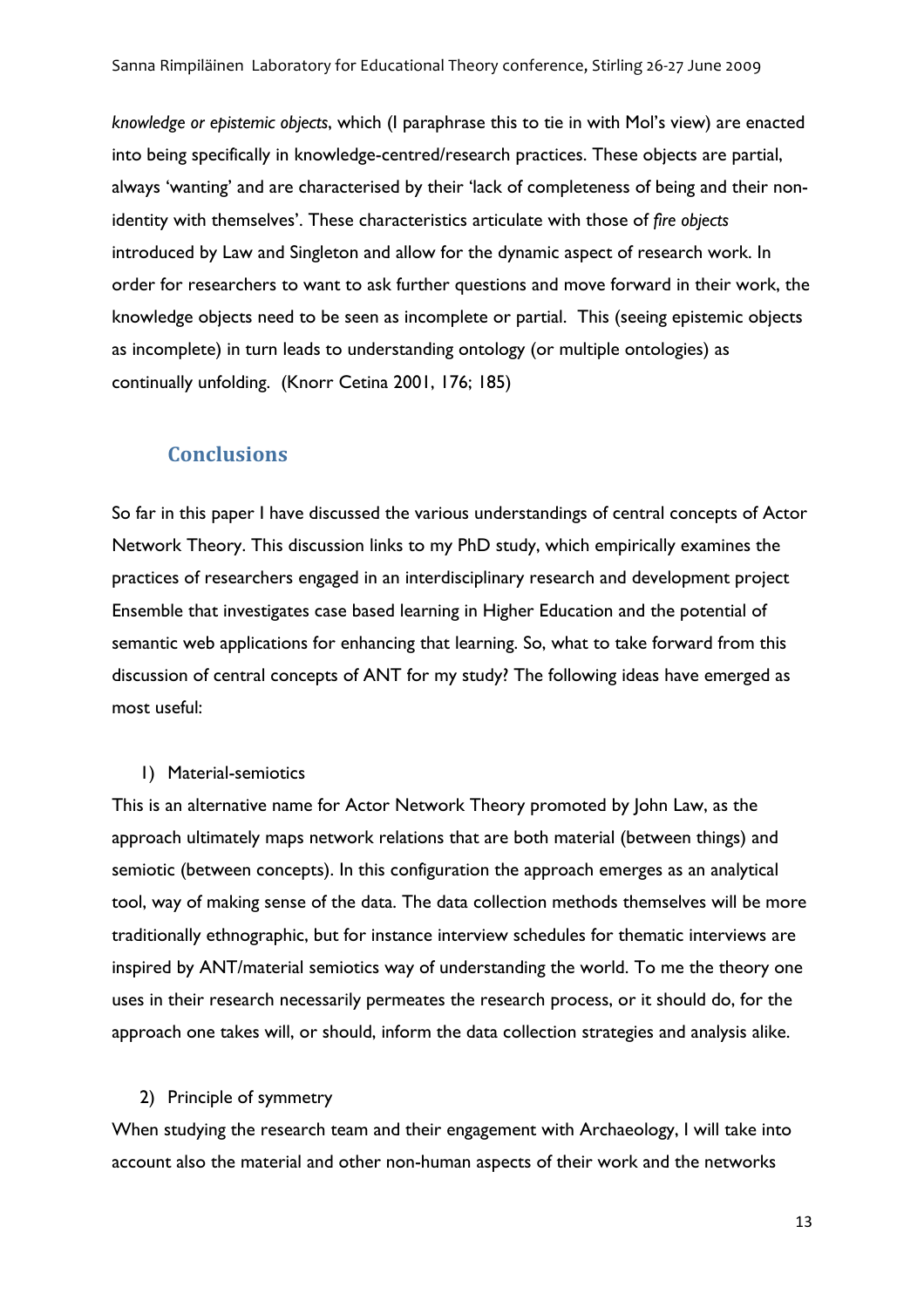*knowledge or epistemic objects*, which (I paraphrase this to tie in with Mol's view) are enacted into being specifically in knowledge-centred/research practices. These objects are partial, always 'wanting' and are characterised by their 'lack of completeness of being and their nonidentity with themselves'. These characteristics articulate with those of *fire objects*  introduced by Law and Singleton and allow for the dynamic aspect of research work. In order for researchers to want to ask further questions and move forward in their work, the knowledge objects need to be seen as incomplete or partial. This (seeing epistemic objects as incomplete) in turn leads to understanding ontology (or multiple ontologies) as continually unfolding. (Knorr Cetina 2001, 176; 185)

# **Conclusions**

So far in this paper I have discussed the various understandings of central concepts of Actor Network Theory. This discussion links to my PhD study, which empirically examines the practices of researchers engaged in an interdisciplinary research and development project Ensemble that investigates case based learning in Higher Education and the potential of semantic web applications for enhancing that learning. So, what to take forward from this discussion of central concepts of ANT for my study? The following ideas have emerged as most useful:

## 1) Material-semiotics

This is an alternative name for Actor Network Theory promoted by John Law, as the approach ultimately maps network relations that are both material (between things) and semiotic (between concepts). In this configuration the approach emerges as an analytical tool, way of making sense of the data. The data collection methods themselves will be more traditionally ethnographic, but for instance interview schedules for thematic interviews are inspired by ANT/material semiotics way of understanding the world. To me the theory one uses in their research necessarily permeates the research process, or it should do, for the approach one takes will, or should, inform the data collection strategies and analysis alike.

# 2) Principle of symmetry

When studying the research team and their engagement with Archaeology, I will take into account also the material and other non-human aspects of their work and the networks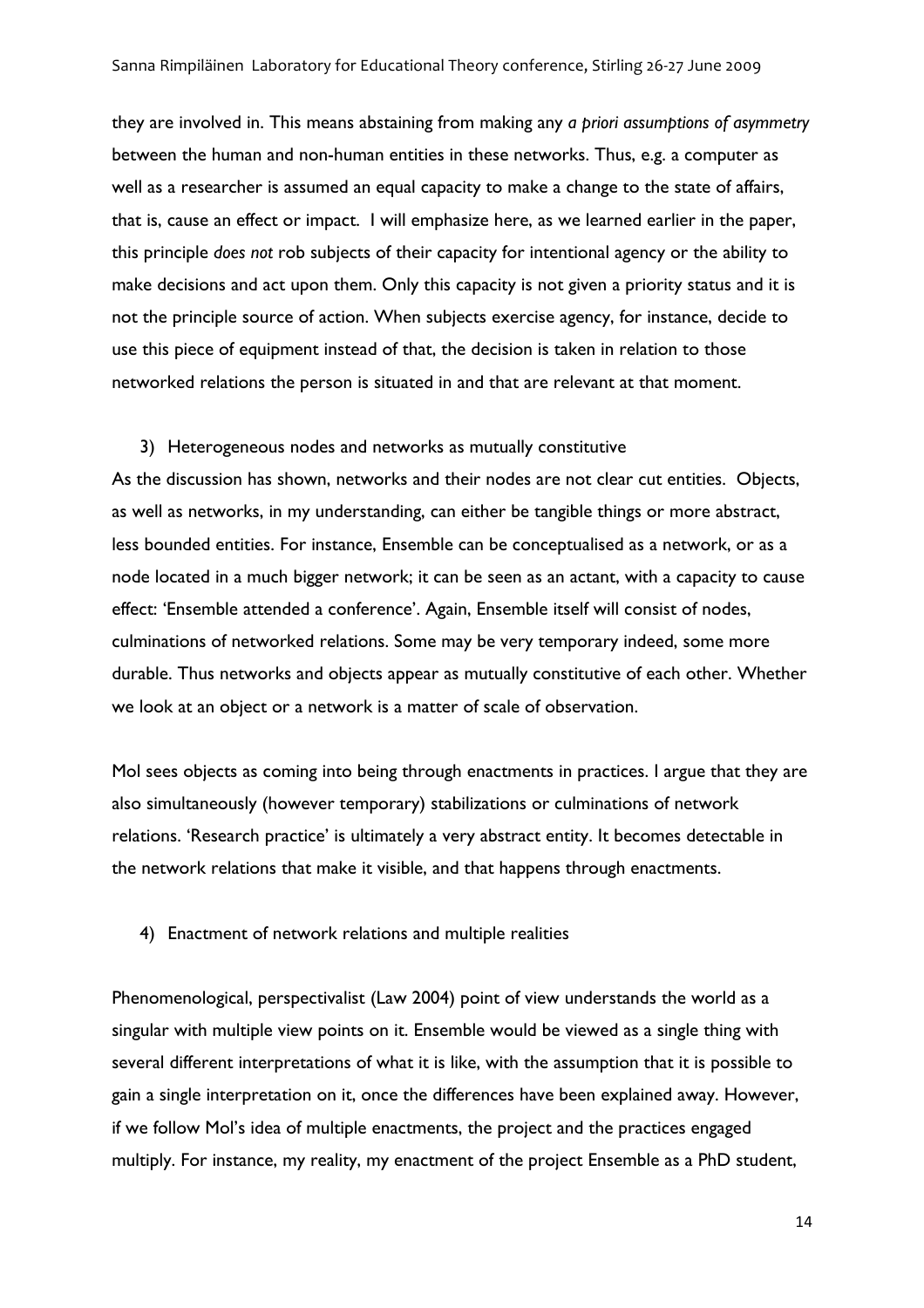they are involved in. This means abstaining from making any *a priori assumptions of asymmetry* between the human and non-human entities in these networks. Thus, e.g. a computer as well as a researcher is assumed an equal capacity to make a change to the state of affairs, that is, cause an effect or impact. I will emphasize here, as we learned earlier in the paper, this principle *does not* rob subjects of their capacity for intentional agency or the ability to make decisions and act upon them. Only this capacity is not given a priority status and it is not the principle source of action. When subjects exercise agency, for instance, decide to use this piece of equipment instead of that, the decision is taken in relation to those networked relations the person is situated in and that are relevant at that moment.

#### 3) Heterogeneous nodes and networks as mutually constitutive

As the discussion has shown, networks and their nodes are not clear cut entities. Objects, as well as networks, in my understanding, can either be tangible things or more abstract, less bounded entities. For instance, Ensemble can be conceptualised as a network, or as a node located in a much bigger network; it can be seen as an actant, with a capacity to cause effect: 'Ensemble attended a conference'. Again, Ensemble itself will consist of nodes, culminations of networked relations. Some may be very temporary indeed, some more durable. Thus networks and objects appear as mutually constitutive of each other. Whether we look at an object or a network is a matter of scale of observation.

Mol sees objects as coming into being through enactments in practices. I argue that they are also simultaneously (however temporary) stabilizations or culminations of network relations. 'Research practice' is ultimately a very abstract entity. It becomes detectable in the network relations that make it visible, and that happens through enactments.

4) Enactment of network relations and multiple realities

Phenomenological, perspectivalist (Law 2004) point of view understands the world as a singular with multiple view points on it. Ensemble would be viewed as a single thing with several different interpretations of what it is like, with the assumption that it is possible to gain a single interpretation on it, once the differences have been explained away. However, if we follow Mol's idea of multiple enactments, the project and the practices engaged multiply. For instance, my reality, my enactment of the project Ensemble as a PhD student,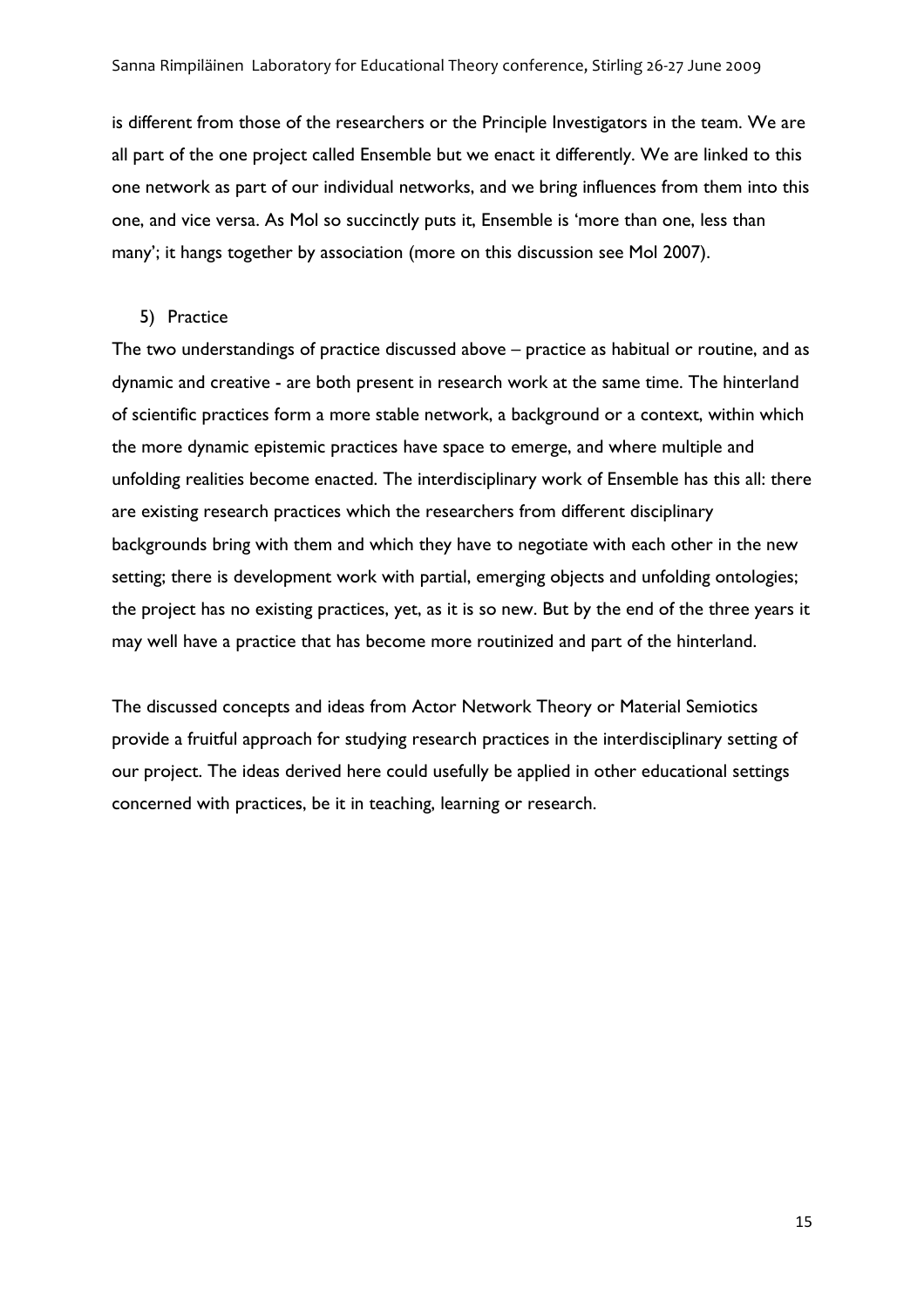is different from those of the researchers or the Principle Investigators in the team. We are all part of the one project called Ensemble but we enact it differently. We are linked to this one network as part of our individual networks, and we bring influences from them into this one, and vice versa. As Mol so succinctly puts it, Ensemble is 'more than one, less than many'; it hangs together by association (more on this discussion see Mol 2007).

#### 5) Practice

The two understandings of practice discussed above – practice as habitual or routine, and as dynamic and creative - are both present in research work at the same time. The hinterland of scientific practices form a more stable network, a background or a context, within which the more dynamic epistemic practices have space to emerge, and where multiple and unfolding realities become enacted. The interdisciplinary work of Ensemble has this all: there are existing research practices which the researchers from different disciplinary backgrounds bring with them and which they have to negotiate with each other in the new setting; there is development work with partial, emerging objects and unfolding ontologies; the project has no existing practices, yet, as it is so new. But by the end of the three years it may well have a practice that has become more routinized and part of the hinterland.

The discussed concepts and ideas from Actor Network Theory or Material Semiotics provide a fruitful approach for studying research practices in the interdisciplinary setting of our project. The ideas derived here could usefully be applied in other educational settings concerned with practices, be it in teaching, learning or research.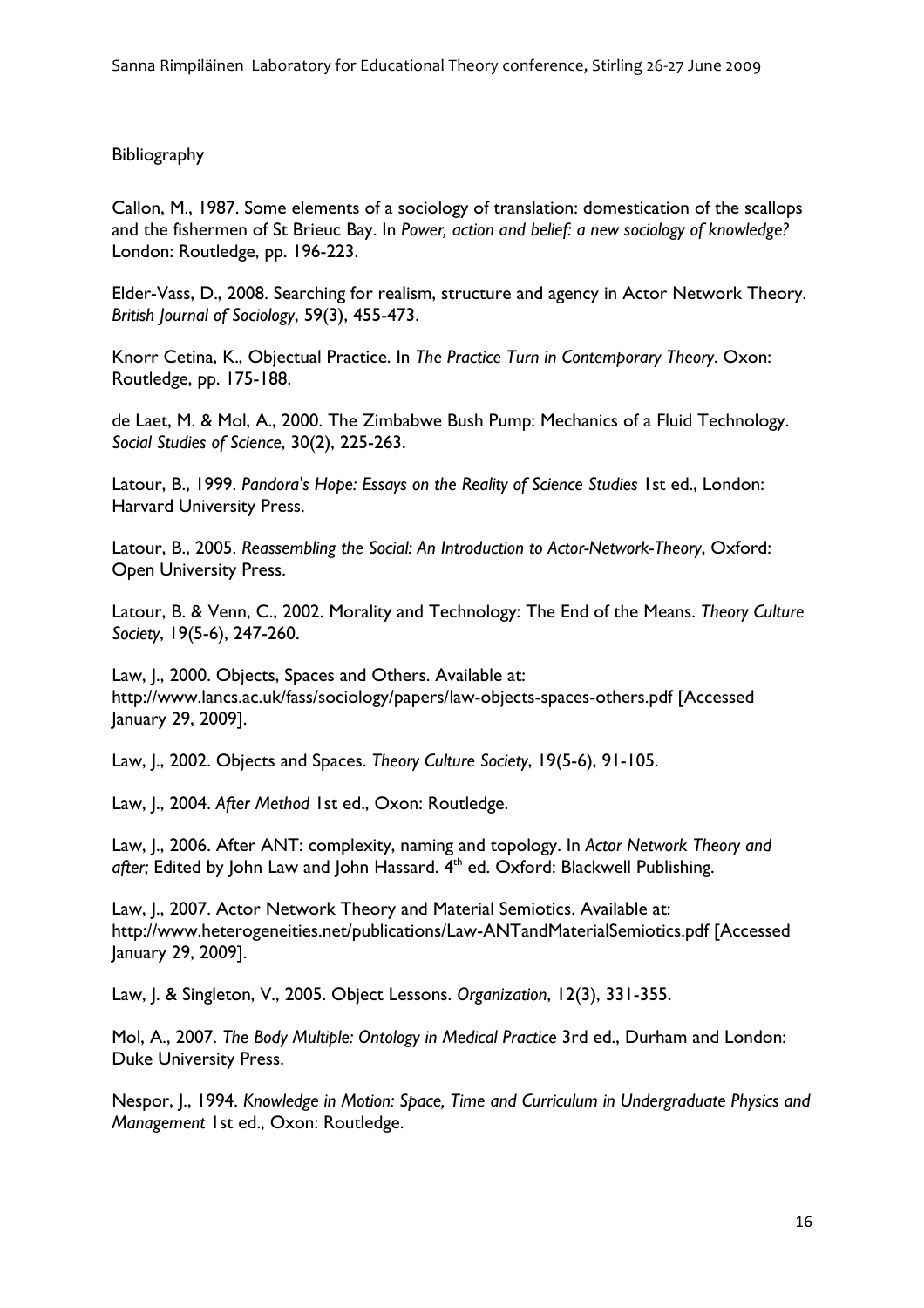# **Bibliography**

Callon, M., 1987. Some elements of a sociology of translation: domestication of the scallops and the fishermen of St Brieuc Bay. In *Power, action and belief: a new sociology of knowledge?* London: Routledge, pp. 196-223.

Elder-Vass, D., 2008. Searching for realism, structure and agency in Actor Network Theory. *British Journal of Sociology*, 59(3), 455-473.

Knorr Cetina, K., Objectual Practice. In *The Practice Turn in Contemporary Theory*. Oxon: Routledge, pp. 175-188.

de Laet, M. & Mol, A., 2000. The Zimbabwe Bush Pump: Mechanics of a Fluid Technology. *Social Studies of Science*, 30(2), 225-263.

Latour, B., 1999. *Pandora's Hope: Essays on the Reality of Science Studies* 1st ed., London: Harvard University Press.

Latour, B., 2005. *Reassembling the Social: An Introduction to Actor-Network-Theory*, Oxford: Open University Press.

Latour, B. & Venn, C., 2002. Morality and Technology: The End of the Means. *Theory Culture Society*, 19(5-6), 247-260.

Law, I., 2000. Objects, Spaces and Others. Available at: http://www.lancs.ac.uk/fass/sociology/papers/law-objects-spaces-others.pdf [Accessed January 29, 2009].

Law, J., 2002. Objects and Spaces. *Theory Culture Society*, 19(5-6), 91-105.

Law, J., 2004. *After Method* 1st ed., Oxon: Routledge.

Law, J., 2006. After ANT: complexity, naming and topology. In *Actor Network Theory and*  after; Edited by John Law and John Hassard. 4<sup>th</sup> ed. Oxford: Blackwell Publishing.

Law, J., 2007. Actor Network Theory and Material Semiotics. Available at: http://www.heterogeneities.net/publications/Law-ANTandMaterialSemiotics.pdf [Accessed January 29, 2009].

Law, J. & Singleton, V., 2005. Object Lessons. *Organization*, 12(3), 331-355.

Mol, A., 2007. *The Body Multiple: Ontology in Medical Practice* 3rd ed., Durham and London: Duke University Press.

Nespor, J., 1994. *Knowledge in Motion: Space, Time and Curriculum in Undergraduate Physics and Management* 1st ed., Oxon: Routledge.